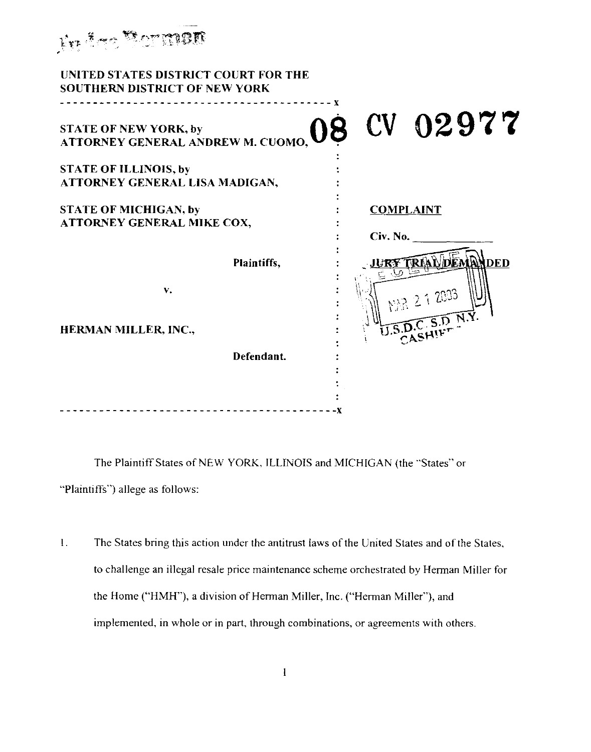| Ry fee Borman                                                                              |                              |
|--------------------------------------------------------------------------------------------|------------------------------|
| UNITED STATES DISTRICT COURT FOR THE<br><b>SOUTHERN DISTRICT OF NEW YORK</b>               |                              |
| <b>STATE OF NEW YORK, by</b><br>STATE OF NEW YORK, by<br>ATTORNEY GENERAL ANDREW M. CUOMO, | 08 CV 02977                  |
| <b>STATE OF ILLINOIS, by</b><br>ATTORNEY GENERAL LISA MADIGAN,                             |                              |
| <b>STATE OF MICHIGAN, by</b><br>ATTORNEY GENERAL MIKE COX,                                 | <b>COMPLAINT</b><br>Civ. No. |
| Plaintiffs,                                                                                | ury triadiden<br>ANDED       |
| V.                                                                                         | 2 1 2003                     |
| HERMAN MILLER, INC.,<br>Defendant.                                                         | CASHI                        |
|                                                                                            |                              |
|                                                                                            |                              |

The Plaintiff States of NEW YORK, ILLINOIS and MICHIGAN (the "States" or "Plaintiffs") allege as follows:

 $1.$ The States bring this action under the antitrust laws of the United States and of the States , to challenge an illegal resale price maintenance scheme orchestrated by Herman Miller for the Home ("HMH"), a division of Herman Miller, Inc . ("Herman Miller"), and implemented, in whole or in part, through combinations, or agreements with others .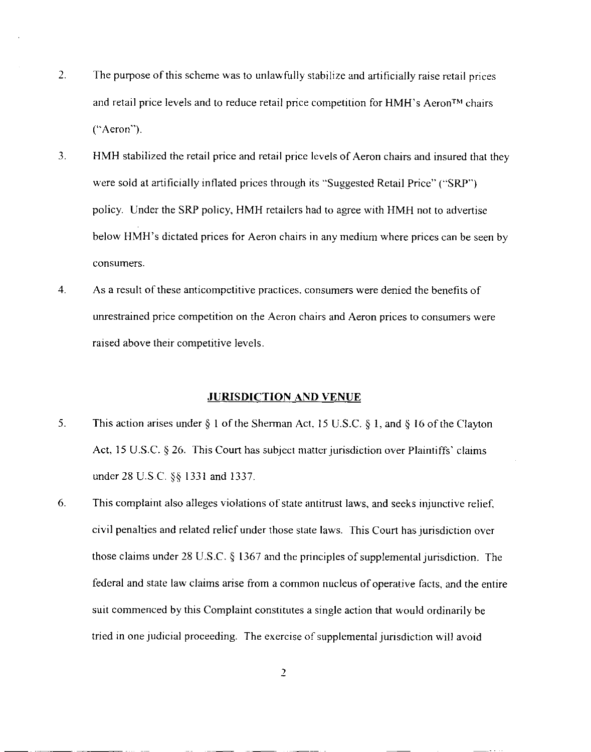- 2. The purpose of this scheme was to unlawfully stabilize and artificially raise retail prices and retail price levels and to reduce retail price competition for  $HMH$ 's Aeron<sup>TM</sup> chairs ("Aeron").
- 3. HMH stabilized the retail price and retail price levels of Aeron chairs and insured that they were sold at artificially inflated prices through its "Suggested Retail Price" ("SRP") policy. Under the SRP policy, HMH retailers had to agree with HMH not to advertise below HMH's dictated prices for Aeron chairs in any medium where prices can be seen by consumers.
- 4. As a result of these anticompetitive practices, consumers were denied the benefits of unrestrained price competition on the Aeron chairs and Aeron prices to consumers wer e raised above their competitive levels.

### **JURISDICTION AND VENUE**

- 5. This action arises under § 1 of the Sherman Act, 15 U.S.C. § 1, and § 16 of the Clayton Act, 15 U.S.C. § 26. This Court has subject matter jurisdiction over Plaintiffs' claims under 28 U.S.C. §§ 1331 and 1337.
- 6. This complaint also alleges violations of state antitrust laws, and seeks injunctive relief, civil penalties and related relief under those state laws. This Court has jurisdiction over those claims under  $28 \text{ U.S.C.}$  § 1367 and the principles of supplemental jurisdiction. The federal and state law claims arise from a common nucleus of operative facts, and the entire suit commenced by this Complaint constitutes a single action that would ordinarily be tried in one judicial proceeding. The exercise of supplemental jurisdiction will avoid

 $\overline{2}$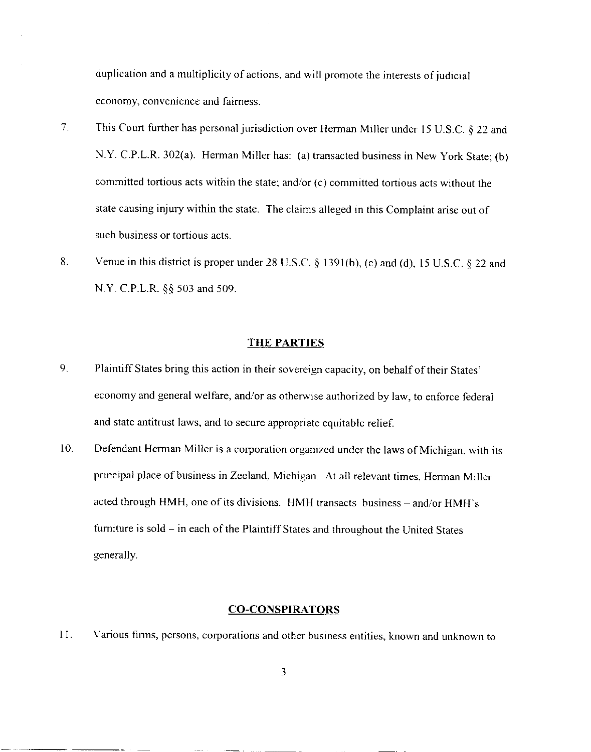duplication and a multiplicity of actions, and will promote the interests of judicial economy, convenience and fairness.

- 7. This Court further has personal jurisdiction over Herman Miller under 15 U.S.C. § 22 and N.Y. C.P.L.R. 302(a). Herman Miller has: (a) transacted business in New York State; (b) committed tortious acts within the state; and/or  $(c)$  committed tortious acts without the state causing injury within the state. The claims alleged in this Complaint arise out of such business or tortious acts.
- 8. Venue in this district is proper under 28 U.S.C.  $\S$  1391(b), (c) and (d), 15 U.S.C.  $\S$  22 and N .Y. C.P.L.R. §§ 503 and 509.

#### **THE PARTIES**

- 9. Plaintiff States bring this action in their sovereign capacity, on behalf of their States ' economy and general welfare, and/or as otherwise authorized by law, to enforce federal and state antitrust laws, and to secure appropriate equitable relief.
- 10. Defendant Herman Miller is a corporation organized under the laws of Michigan, with its principal place of business in Zeeland, Michigan . At all relevant times, Herman Miller acted through HMH, one of its divisions. HMH transacts business – and/or HMH' s furniture is sold – in each of the Plaintiff States and throughout the United States generally.

### **CO-CONSPIRATOR S**

11. Various firms, persons, corporations and other business entities, known and unknown to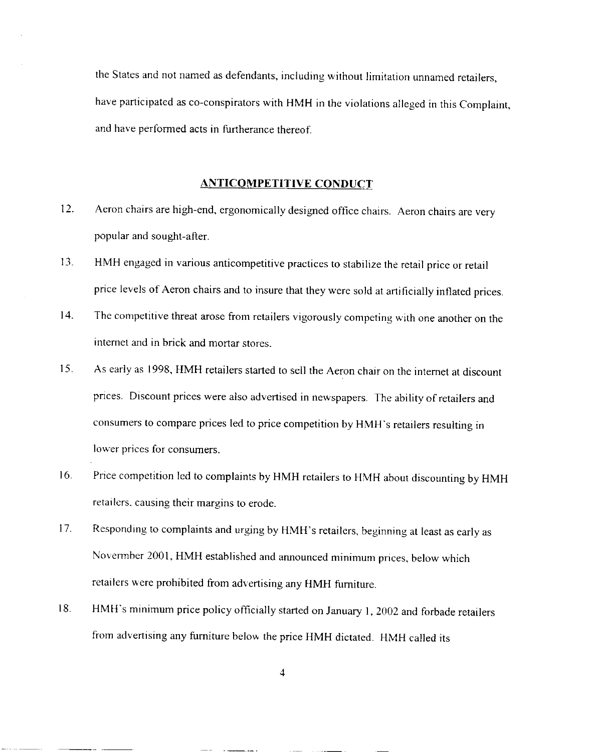the States and not named as defendants, including without limitation unnamed retailers, have participated as co-conspirators with HMH in the violations alleged in this Complaint, and have performed acts in furtherance thereof.

### **ANTICOMPETITIVE CONDUCT**

- 12. Aeron chairs are high-end, ergonomically designed office chairs. Aeron chairs are very popular and sought-after.
- 13. HMH engaged in various anticompetitive practices to stabilize the retail price or retai <sup>l</sup> price levels of Aeron chairs and to insure that they were sold at artificially inflated prices .
- 14. The competitive threat arose from retailers vigorously competing with one another on the internet and in brick and mortar stores.
- 15. As early as 1998, HMH retailers started to sell the Aeron chair on the internet at discount prices. Discount prices were also advertised in newspapers. The ability of retailers and consumers to compare prices led to price competition by HMH's retailers resulting in lower prices for consumers.
- 16. Price competition led to complaints by HMH retailers to HMH about discounting by HMH retailers, causing their margins to erode.
- 17. Responding to complaints and urging by HMH's retailers, beginning at least as early as Novermber 2001, HMH established and announced minimum prices, below which retailers were prohibited from advertising any HMH furniture .
- 18. HMH's minimum price policy officially started on January 1, 2002 and forbade retailers from advertising any furniture below the price HMH dictated. HMH called its

4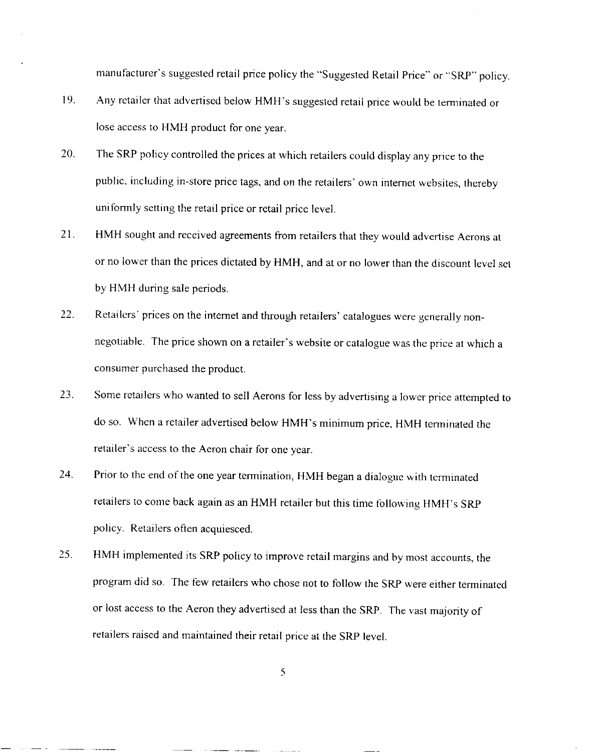manufacturer's suggested retail price policy the "Suggested Retail Price" or "SRP" policy .

- 19. Any retailer that advertised below HMH's suggested retail price would be terminated or lose access to HMH product for one year.
- 20. The SRP policy controlled the prices at which retailers could display any price to the public, including in-store price tags, and on the retailers' own internet websites, thereby uniformly setting the retail price or retail price level.
- 21. HMH sought and received agreements from retailers that they would advertise Aerons at or no lower than the prices dictated by HMH, and at or no lower than the discount level set by HMH during sale periods.
- 22. Retailers' prices on the internet and through retailers' catalogues were generally non negotiable. The price shown on a retailer's website or catalogue was the price at which a consumer purchased the product.
- 23. Some retailers who wanted to sell Aerons for less by advertising a lower price attempted to do so. When a retailer advertised below HMH's minimum price, HMH terminated the retailer's access to the Aeron chair for one year .
- 24. Prior to the end of the one year termination, HMH began a dialogue with terminated retailers to come back again as an HMH retailer but this time following HMH's SRP policy. Retailers often acquiesced.
- 25. HMH implemented its SRP policy to improve retail margins and by most accounts, the program did so. The few retailers who chose not to follow the SRP were either terminated or lost access to the Aeron they advertised at less than the SRP. The vast majority of retailers raised and maintained their retail price at the SRP level.

s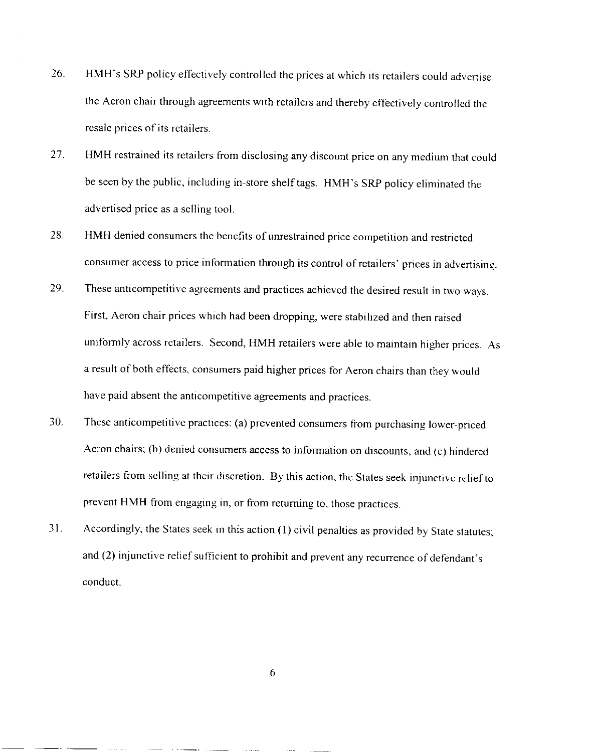- 26. HMH's SRP policy effectively controlled the prices at which its retailers could advertise the Aeron chair through agreements with retailers and thereby effectively controlled the resale prices of its retailers.
- 27. HMH restrained its retailers from disclosing any discount price on any medium that could be seen by the public, including in-store shelf tags. HMH's SRP policy eliminated the advertised price as a selling tool.
- 28. HMH denied consumers the benefits of unrestrained price competition and restricted consumer access to price information through its control of retailers' prices in advertising .
- 29. These anticompetitive agreements and practices achieved the desired result in two ways . First, Aeron chair prices which had been dropping, were stabilized and then raised uniformly across retailers. Second, HMH retailers were able to maintain higher prices. As a result of both effects, consumers paid higher prices for Aeron chairs than they would have paid absent the anticompetitive agreements and practices.
- 30. These anticompetitive practices: (a) prevented consumers from purchasing lower-priced Aeron chairs; (b) denied consumers access to information on discounts; and (c) hindered retailers from selling at their discretion. By this action, the States seek injunctive relief to prevent HMH from engaging in, or from returning to, those practices .
- 31. Accordingly, the States seek in this action (1) civil penalties as provided by State statutes; and (2) injunctive relief sufficient to prohibit and prevent any recurrence of defendant's conduct.

6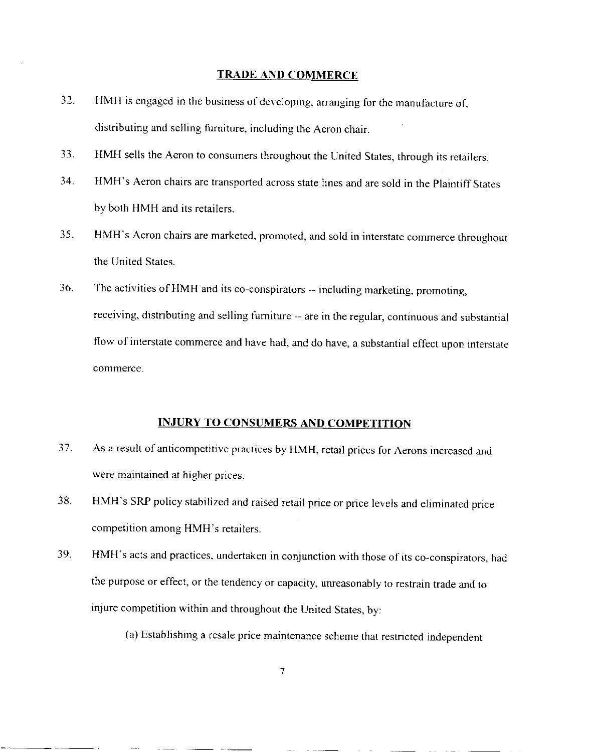### **TRADE AND COMMERCE**

- 32. HMH is engaged in the business of developing, arranging for the manufacture of, distributing and selling furniture, including the Aeron chair.
- 33. HMH sells the Aeron to consumers throughout the United States, through its retailers .
- 34. HMH's Aeron chairs are transported across state lines and are sold in the Plaintiff States by both HMH and its retailers.
- 35. HMH's Aeron chairs are marketed, promoted, and sold in interstate commerce throughou <sup>t</sup> the United States.
- 36. The activities of HMH and its co-conspirators -- including marketing, promoting, receiving, distributing and selling furniture -- are in the regular, continuous and substantial flow of interstate commerce and have had, and do have, a substantial effect upon interstate commerce.

# **INJURY TO CONSUMERS AND COMPETITION**

- 37. As a result of anticompetitive practices by HMH, retail prices for Aerons increased and were maintained at higher prices.
- 38. HMH's SRP policy stabilized and raised retail price or price levels and eliminated price competition among HMH's retailers.
- 39. HMH's acts and practices, undertaken in conjunction with those of its co-conspirators . had the purpose or effect, or the tendency or capacity, unreasonably to restrain trade and to injure competition within and throughout the United States, by:
	- (a) Establishing a resale price maintenance scheme that restricted independent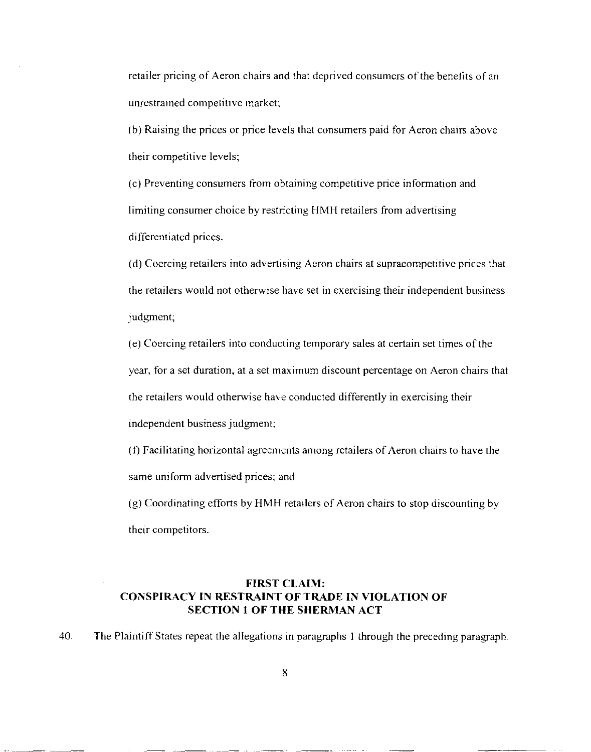retailer pricing of Aeron chairs and that deprived consumers of the benefits of an unrestrained competitive market;

(b) Raising the prices or price levels that consumers paid for Aeron chairs above their competitive levels;

(c) Preventing consumers from obtaining competitive price information and limiting consumer choice by restricting HMH retailers from advertising differentiated prices.

(d) Coercing retailers into advertising Aeron chairs at supracompetitive prices tha <sup>t</sup> the retailers would not otherwise have set in exercising their independent business judgment;

(e) Coercing retailers into conducting temporary sales at certain set times of th e year, for a set duration, at a set maximum discount percentage on Aeron chairs that the retailers would otherwise have conducted differently in exercising their independent business judgment;

(f) Facilitating horizontal agreements among retailers of Aeron chairs to have the same uniform advertised prices; and

 $(g)$  Coordinating efforts by HMH retailers of Aeron chairs to stop discounting by their competitors.

# **FIRST CLAIM : CONSPIRACY IN RESTRAINT OF TRADE IN VIOLATION OF SECTION 1 OF THE SHERMAN ACT**

40. The Plaintiff States repeat the allegations in paragraphs 1 through the preceding paragraph .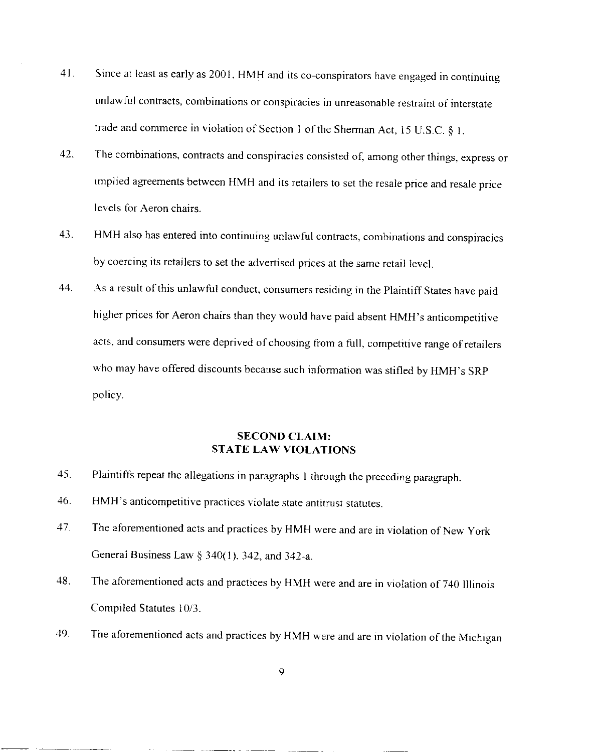- 41. Since at least as early as 2001, HMH and its co-conspirators have engaged in continuing unlawful contracts, combinations or conspiracies in unreasonable restraint of interstate trade and commerce in violation of Section 1 of the Sherman Act, 15 U.S.C.  $\S$  1.
- 42. The combinations, contracts and conspiracies consisted of, among other things, express or implied agreements between HMH and its retailers to set the resale price and resale price levels for Aeron chairs.
- 43. HMH also has entered into continuing unlawful contracts, combinations and conspiracies by coercing its retailers to set the advertised prices at the same retail level .
- 44. As a result of this unlawful conduct, consumers residing in the Plaintiff States have paid higher prices for Aeron chairs than they would have paid absent HMH's anticompetitive acts, and consumers were deprived of choosing from a full, competitive range of retailers who may have offered discounts because such information was stifled by HMH's SRP policy.

## **SECOND CLAIM:** STATE LAW **VIOLATIONS**

- 45. Plaintiffs repeat the allegations in paragraphs I through the preceding paragraph .
- 46. HMH's anticompetitive practices violate state antitrust statutes.
- 47. The aforementioned acts and practices by HMH were and are in violation of New York General Business Law  $\S$  340(1), 342, and 342-a.
- 48. The aforementioned acts and practices by HMH were and are in violation of 740 Illinois Compiled Statutes 10/3.
- 49. The aforementioned acts and practices by HMH were and are in violation of the Michigan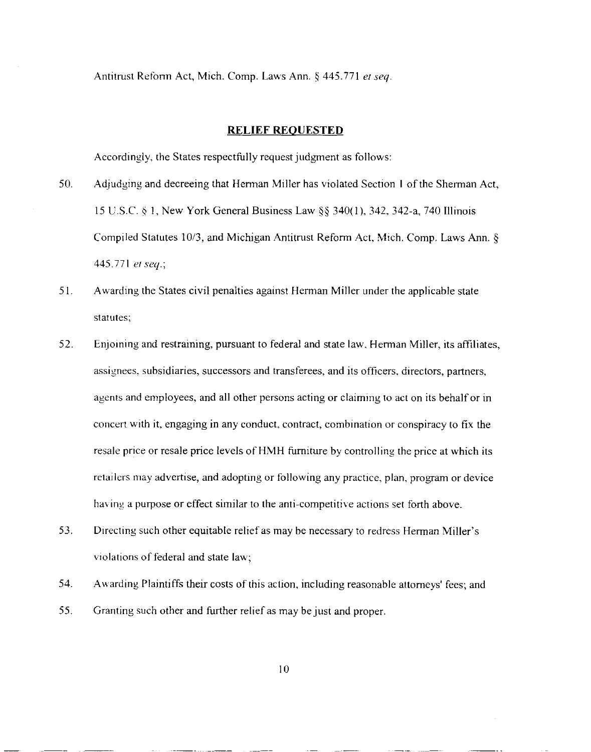Antitrust Reform Act, Mich. Comp. Laws Ann. § 445.771 *et seq.* 

### **RELIEF REQUESTE D**

Accordingly, the States respectfully request judgment as follows:

- 50. Adjudging and decreeing that Herman Miller has violated Section I of the Sherman Act, 15 U .S.C. § 1, New York General Business Law §§ 340(1), 342, 342-a, 740 Illinoi s Compiled Statutes 10/3, and Michigan Antitrust Reform Act, Mich. Comp. Laws Ann. § 445 .771 *et seq. ;*
- 51. Awarding the States civil penalties against Herman Miller under the applicable state statutes;
- 52. Enjoining and restraining, pursuant to federal and state law, Herman Miller, its affiliates , assignees, subsidiaries, successors and transferees, and its officers, directors, partners, agents and employees, and all other persons acting or claiming to act on its behalf or in concert with it, engaging in any conduct, contract, combination or conspiracy to fix the resale price or resale price levels of HMH furniture by controlling the price at which its retailers may advertise, and adopting or following any practice, plan, program or device having a purpose or effect similar to the anti-competitive actions set forth above .
- 53. Directing such other equitable relief as may be necessary to redress Herman Miller's violations of federal and state law;
- 54. Awarding Plaintiffs their costs of this action, including reasonable attorneys' fees; and
- 55. Granting such other and further relief as may be just and proper.

10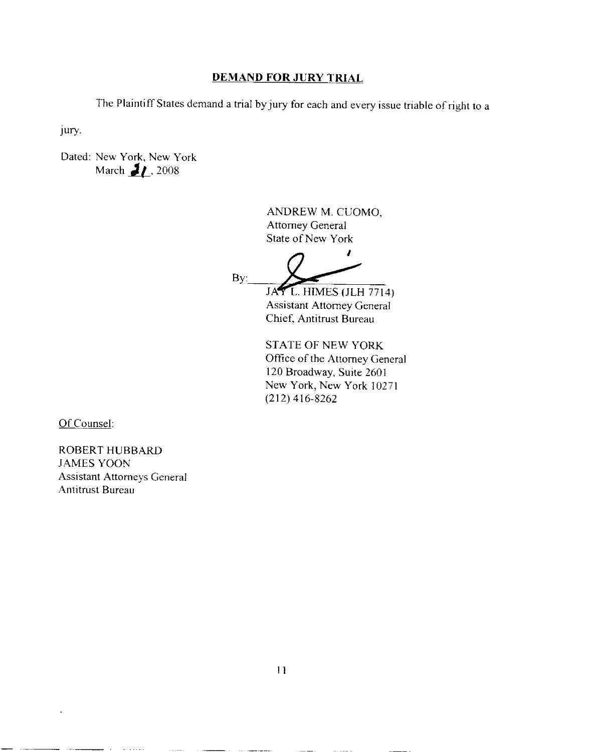### **DEMAND FOR JURY TRIAL**

The Plaintiff States demand a trial by jury for each and every issue triable of right to a

Jury.

Dated: New York, New York March  $\frac{1}{2}$  , 2008

> ANDREW M. CUOMO, Attorney General State of New York

> > z

By:

JAY L. HIMES (JLH 7714) Assistant Attorney General Chief, Antitrust Bureau

STATE OF NEW YORK Office of the Attorney General 120 Broadway, Suite 2601 New York, New York 1027 <sup>1</sup> (212) 416-8262

Of Counsel:

ROBERT HUBBARD JAMES YOON **Assistant Attorneys General** Antitrust Bureau